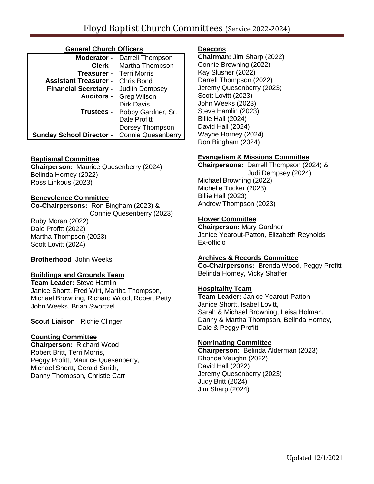## **General Church Officers**

| Moderator -                                        | Darrell Thompson               |
|----------------------------------------------------|--------------------------------|
|                                                    | <b>Clerk -</b> Martha Thompson |
| Treasurer -                                        | <b>Terri Morris</b>            |
| <b>Assistant Treasurer -</b> Chris Bond            |                                |
| <b>Financial Secretary -</b> Judith Dempsey        |                                |
| <b>Auditors -</b>                                  | <b>Greg Wilson</b>             |
|                                                    | <b>Dirk Davis</b>              |
| Trustees -                                         | Bobby Gardner, Sr.             |
|                                                    | Dale Profitt                   |
|                                                    | Dorsey Thompson                |
| <b>Sunday School Director -</b> Connie Quesenberry |                                |

### **Baptismal Committee**

**Chairperson:** Maurice Quesenberry (2024) Belinda Horney (2022) Ross Linkous (2023)

## **Benevolence Committee**

**Co-Chairpersons:** Ron Bingham (2023) & Connie Quesenberry (2023) Ruby Moran (2022) Dale Profitt (2022) Martha Thompson (2023) Scott Lovitt (2024)

**Brotherhood** John Weeks

### **Buildings and Grounds Team**

**Team Leader:** Steve Hamlin Janice Shortt, Fred Wirt, Martha Thompson, Michael Browning, Richard Wood, Robert Petty, John Weeks, Brian Swortzel

**Scout Liaison** Richie Clinger

### **Counting Committee**

**Chairperson:** Richard Wood Robert Britt, Terri Morris, Peggy Profitt, Maurice Quesenberry, Michael Shortt, Gerald Smith, Danny Thompson, Christie Carr

## **Deacons**

**Chairman:** Jim Sharp (2022) Connie Browning (2022) Kay Slusher (2022) Darrell Thompson (2022) Jeremy Quesenberry (2023) Scott Lovitt (2023) John Weeks (2023) Steve Hamlin (2023) Billie Hall (2024) David Hall (2024) Wayne Horney (2024) Ron Bingham (2024)

## **Evangelism & Missions Committee**

**Chairpersons:** Darrell Thompson (2024) & Judi Dempsey (2024) Michael Browning (2022) Michelle Tucker (2023) Billie Hall (2023) Andrew Thompson (2023)

## **Flower Committee**

**Chairperson:** Mary Gardner Janice Yearout-Patton, Elizabeth Reynolds Ex-officio

### **Archives & Records Committee**

**Co-Chairpersons:** Brenda Wood, Peggy Profitt Belinda Horney, Vicky Shaffer

# **Hospitality Team**

**Team Leader:** Janice Yearout-Patton Janice Shortt, Isabel Lovitt, Sarah & Michael Browning, Leisa Holman, Danny & Martha Thompson, Belinda Horney, Dale & Peggy Profitt

# **Nominating Committee**

**Chairperson:** Belinda Alderman (2023) Rhonda Vaughn (2022) David Hall (2022) Jeremy Quesenberry (2023) Judy Britt (2024) Jim Sharp (2024)